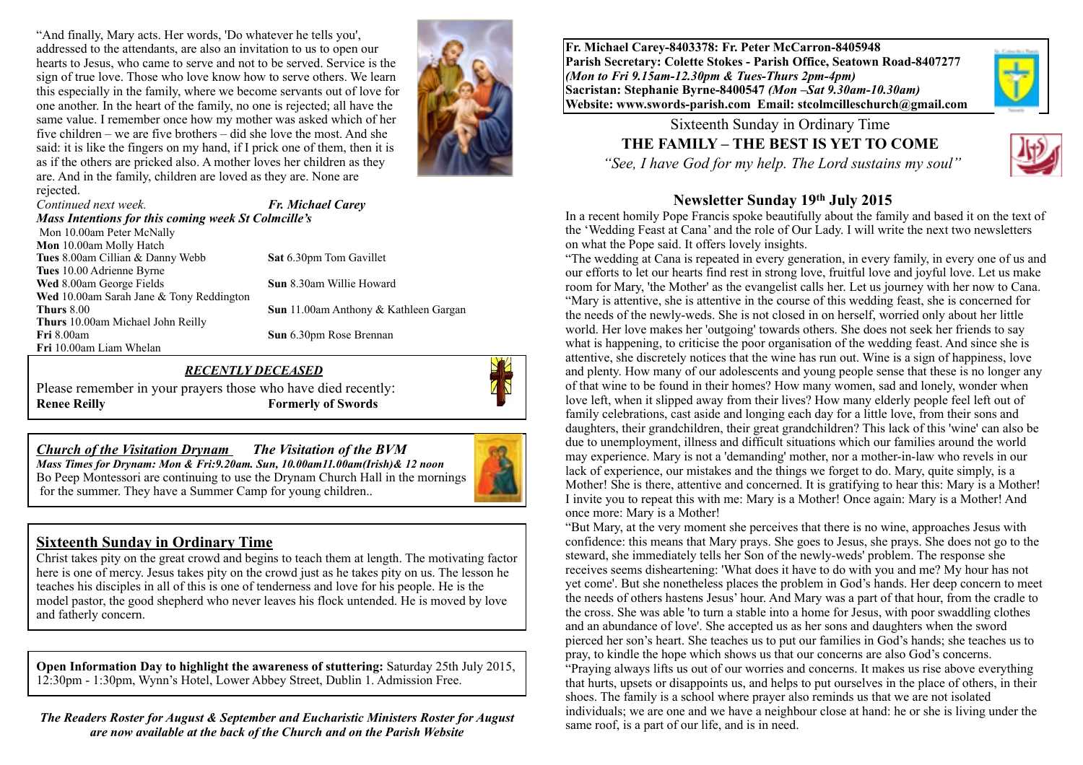"And finally, Mary acts. Her words, 'Do whatever he tells you', addressed to the attendants, are also an invitation to us to open our hearts to Jesus, who came to serve and not to be served. Service is the sign of true love. Those who love know how to serve others. We learn this especially in the family, where we become servants out of love for one another. In the heart of the family, no one is rejected; all have the same value. I remember once how my mother was asked which of her five children – we are five brothers – did she love the most. And she said: it is like the fingers on my hand, if I prick one of them, then it is as if the others are pricked also. A mother loves her children as they are. And in the family, children are loved as they are. None are rejected.



*Continued next week. Fr. Michael Carey Mass Intentions for this coming week St Colmcille's*  Mon 10.00am Peter McNally **Mon** 10.00am Molly Hatch **Tues** 8.00am Cillian & Danny Webb **Sat** 6.30pm Tom Gavillet **Tues** 10.00 Adrienne Byrne **Wed** 8.00am George Fields **Sun** 8.30am Willie Howard **Wed** 10.00am Sarah Jane & Tony Reddington **Thurs** 8.00 **Sun** 11.00am Anthony & Kathleen Gargan **Thurs** 10.00am Michael John Reilly **Fri** 8.00am **Sun** 6.30pm Rose Brennan **Fri** 10.00am Liam Whelan

#### *RECENTLY DECEASED*

Please remember in your prayers those who have died recently: **Renee Reilly Formerly of Swords**



#### **Sixteenth Sunday in Ordinary Time**

Christ takes pity on the great crowd and begins to teach them at length. The motivating factor here is one of mercy. Jesus takes pity on the crowd just as he takes pity on us. The lesson he teaches his disciples in all of this is one of tenderness and love for his people. He is the model pastor, the good shepherd who never leaves his flock untended. He is moved by love and fatherly concern.

**Open Information Day to highlight the awareness of stuttering:** Saturday 25th July 2015, 12:30pm - 1:30pm, Wynn's Hotel, Lower Abbey Street, Dublin 1. Admission Free.

*The Readers Roster for August & September and Eucharistic Ministers Roster for August are now available at the back of the Church and on the Parish Website* 

**Fr. Michael Carey-8403378: Fr. Peter McCarron-8405948 Parish Secretary: Colette Stokes - Parish Office, Seatown Road-8407277**  *(Mon to Fri 9.15am-12.30pm & Tues-Thurs 2pm-4pm)*  **Sacristan: Stephanie Byrne-8400547** *(Mon –Sat 9.30am-10.30am)* **Website: [www.swords-parish.com Email](http://www.swords-parish.com%20%20email): stcolmcilleschurch@gmail.com**

> Sixteenth Sunday in Ordinary Time **THE FAMILY – THE BEST IS YET TO COME**   *"See, I have God for my help. The Lord sustains my soul"*



#### **Newsletter Sunday 19th July 2015**

In a recent homily Pope Francis spoke beautifully about the family and based it on the text of the 'Wedding Feast at Cana' and the role of Our Lady. I will write the next two newsletters on what the Pope said. It offers lovely insights.

"The wedding at Cana is repeated in every generation, in every family, in every one of us and our efforts to let our hearts find rest in strong love, fruitful love and joyful love. Let us make room for Mary, 'the Mother' as the evangelist calls her. Let us journey with her now to Cana. "Mary is attentive, she is attentive in the course of this wedding feast, she is concerned for the needs of the newly-weds. She is not closed in on herself, worried only about her little world. Her love makes her 'outgoing' towards others. She does not seek her friends to say what is happening, to criticise the poor organisation of the wedding feast. And since she is attentive, she discretely notices that the wine has run out. Wine is a sign of happiness, love and plenty. How many of our adolescents and young people sense that these is no longer any of that wine to be found in their homes? How many women, sad and lonely, wonder when love left, when it slipped away from their lives? How many elderly people feel left out of family celebrations, cast aside and longing each day for a little love, from their sons and daughters, their grandchildren, their great grandchildren? This lack of this 'wine' can also be due to unemployment, illness and difficult situations which our families around the world may experience. Mary is not a 'demanding' mother, nor a mother-in-law who revels in our lack of experience, our mistakes and the things we forget to do. Mary, quite simply, is a Mother! She is there, attentive and concerned. It is gratifying to hear this: Mary is a Mother! I invite you to repeat this with me: Mary is a Mother! Once again: Mary is a Mother! And once more: Mary is a Mother!

"But Mary, at the very moment she perceives that there is no wine, approaches Jesus with confidence: this means that Mary prays. She goes to Jesus, she prays. She does not go to the steward, she immediately tells her Son of the newly-weds' problem. The response she receives seems disheartening: 'What does it have to do with you and me? My hour has not yet come'. But she nonetheless places the problem in God's hands. Her deep concern to meet the needs of others hastens Jesus' hour. And Mary was a part of that hour, from the cradle to the cross. She was able 'to turn a stable into a home for Jesus, with poor swaddling clothes and an abundance of love'. She accepted us as her sons and daughters when the sword pierced her son's heart. She teaches us to put our families in God's hands; she teaches us to pray, to kindle the hope which shows us that our concerns are also God's concerns. "Praying always lifts us out of our worries and concerns. It makes us rise above everything that hurts, upsets or disappoints us, and helps to put ourselves in the place of others, in their shoes. The family is a school where prayer also reminds us that we are not isolated individuals; we are one and we have a neighbour close at hand: he or she is living under the same roof, is a part of our life, and is in need.